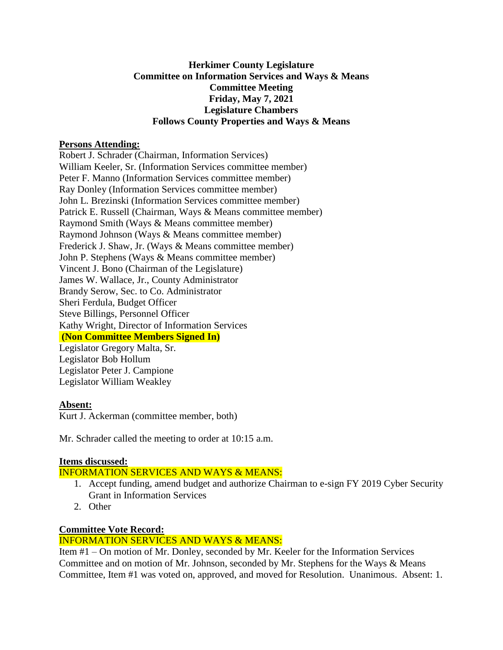## **Herkimer County Legislature Committee on Information Services and Ways & Means Committee Meeting Friday, May 7, 2021 Legislature Chambers Follows County Properties and Ways & Means**

#### **Persons Attending:**

Robert J. Schrader (Chairman, Information Services) William Keeler, Sr. (Information Services committee member) Peter F. Manno (Information Services committee member) Ray Donley (Information Services committee member) John L. Brezinski (Information Services committee member) Patrick E. Russell (Chairman, Ways & Means committee member) Raymond Smith (Ways & Means committee member) Raymond Johnson (Ways & Means committee member) Frederick J. Shaw, Jr. (Ways & Means committee member) John P. Stephens (Ways & Means committee member) Vincent J. Bono (Chairman of the Legislature) James W. Wallace, Jr., County Administrator Brandy Serow, Sec. to Co. Administrator Sheri Ferdula, Budget Officer Steve Billings, Personnel Officer Kathy Wright, Director of Information Services **(Non Committee Members Signed In)** Legislator Gregory Malta, Sr. Legislator Bob Hollum Legislator Peter J. Campione Legislator William Weakley

## **Absent:**

Kurt J. Ackerman (committee member, both)

Mr. Schrader called the meeting to order at 10:15 a.m.

## **Items discussed:**

## INFORMATION SERVICES AND WAYS & MEANS:

- 1. Accept funding, amend budget and authorize Chairman to e-sign FY 2019 Cyber Security Grant in Information Services
- 2. Other

# **Committee Vote Record:**

## INFORMATION SERVICES AND WAYS & MEANS:

Item #1 – On motion of Mr. Donley, seconded by Mr. Keeler for the Information Services Committee and on motion of Mr. Johnson, seconded by Mr. Stephens for the Ways & Means Committee, Item #1 was voted on, approved, and moved for Resolution. Unanimous. Absent: 1.